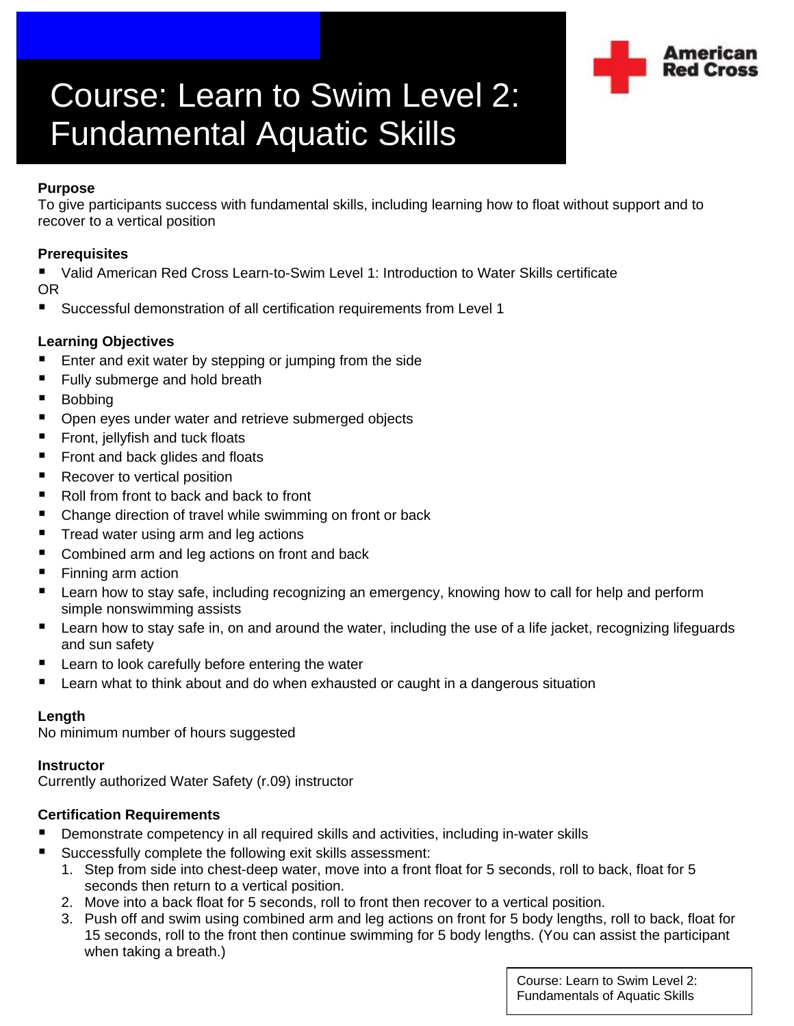

# Course: Learn to Swim Level 2: Fundamental Aquatic Skills

## **Purpose**

To give participants success with fundamental skills, including learning how to float without support and to recover to a vertical position

## **Prerequisites**

 Valid American Red Cross Learn-to-Swim Level 1: Introduction to Water Skills certificate OR

■ Successful demonstration of all certification requirements from Level 1

## **Learning Objectives**

- **E** Enter and exit water by stepping or jumping from the side
- Fully submerge and hold breath
- **Bobbing**
- **Open eyes under water and retrieve submerged objects**
- **Fight** Front, jellyfish and tuck floats
- Front and back glides and floats
- Recover to vertical position
- $\blacksquare$  Roll from front to back and back to front
- Change direction of travel while swimming on front or back
- Tread water using arm and leg actions
- Combined arm and leg actions on front and back
- **Finning arm action**
- **E** Learn how to stay safe, including recognizing an emergency, knowing how to call for help and perform simple nonswimming assists
- **E** Learn how to stay safe in, on and around the water, including the use of a life jacket, recognizing lifeguards and sun safety
- **E** Learn to look carefully before entering the water
- Learn what to think about and do when exhausted or caught in a dangerous situation

#### **Length**

No minimum number of hours suggested

#### **Instructor**

Currently authorized Water Safety (r.09) instructor

#### **Certification Requirements**

- **Demonstrate competency in all required skills and activities, including in-water skills**
- Successfully complete the following exit skills assessment:
	- 1. Step from side into chest-deep water, move into a front float for 5 seconds, roll to back, float for 5 seconds then return to a vertical position.
	- 2. Move into a back float for 5 seconds, roll to front then recover to a vertical position.
	- 3. Push off and swim using combined arm and leg actions on front for 5 body lengths, roll to back, float for 15 seconds, roll to the front then continue swimming for 5 body lengths. (You can assist the participant when taking a breath.)

Course: Learn to Swim Level 2: Fundamentals of Aquatic Skills